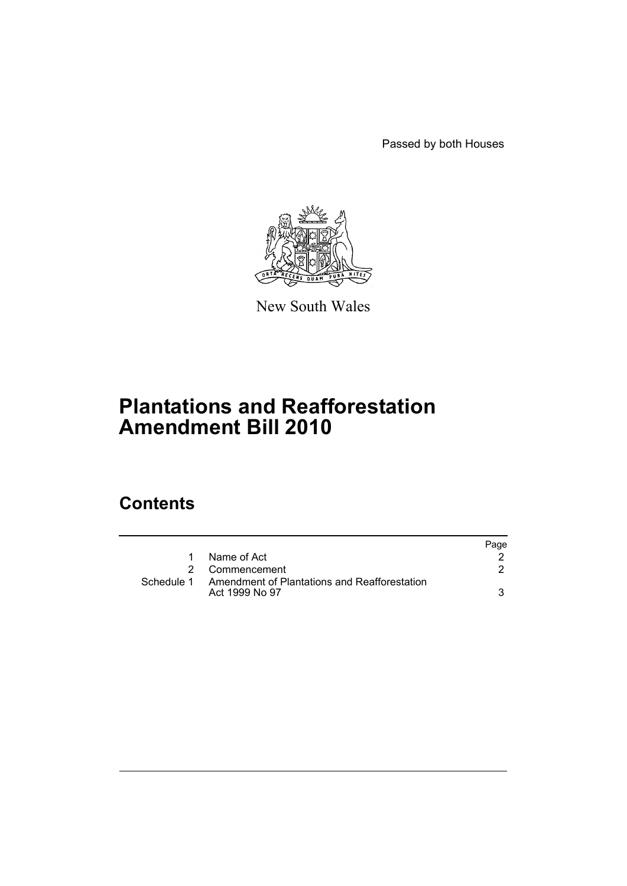Passed by both Houses



New South Wales

# **Plantations and Reafforestation Amendment Bill 2010**

# **Contents**

|             |                                                                | Page |
|-------------|----------------------------------------------------------------|------|
| $\mathbf 1$ | Name of Act                                                    |      |
|             | 2 Commencement                                                 |      |
| Schedule 1  | Amendment of Plantations and Reafforestation<br>Act 1999 No 97 |      |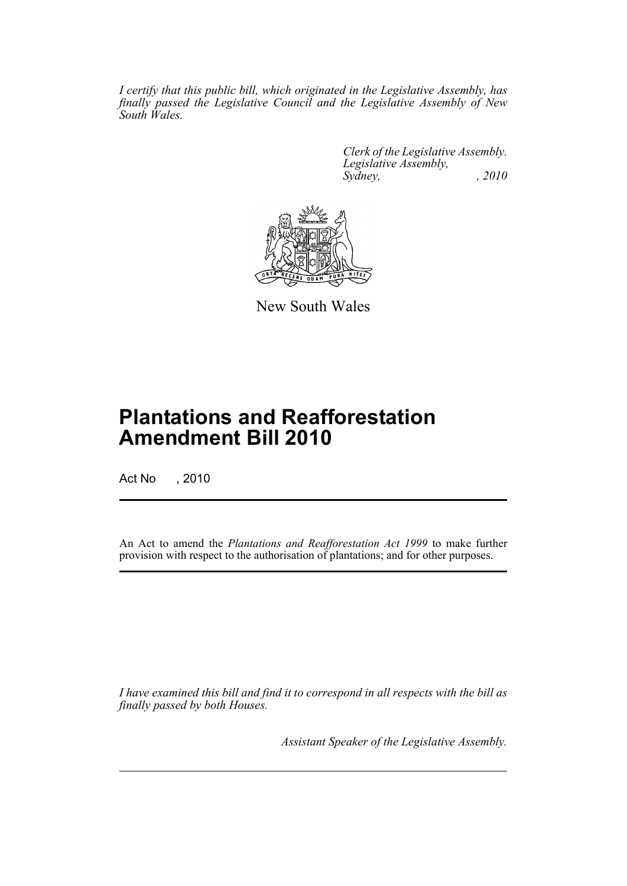*I certify that this public bill, which originated in the Legislative Assembly, has finally passed the Legislative Council and the Legislative Assembly of New South Wales.*

> *Clerk of the Legislative Assembly. Legislative Assembly, Sydney, , 2010*



New South Wales

# **Plantations and Reafforestation Amendment Bill 2010**

Act No , 2010

An Act to amend the *Plantations and Reafforestation Act 1999* to make further provision with respect to the authorisation of plantations; and for other purposes.

*I have examined this bill and find it to correspond in all respects with the bill as finally passed by both Houses.*

*Assistant Speaker of the Legislative Assembly.*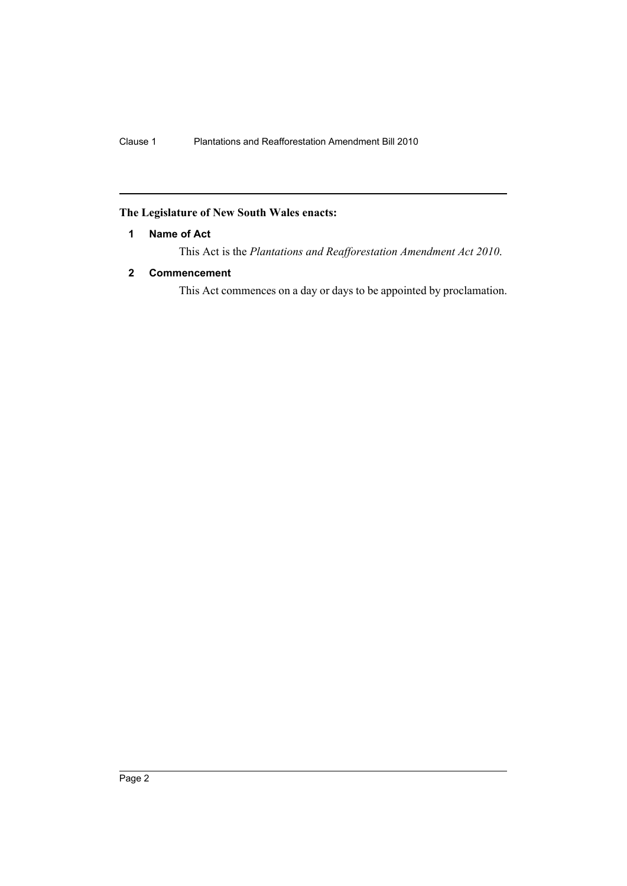## <span id="page-2-0"></span>**The Legislature of New South Wales enacts:**

## **1 Name of Act**

This Act is the *Plantations and Reafforestation Amendment Act 2010*.

## <span id="page-2-1"></span>**2 Commencement**

This Act commences on a day or days to be appointed by proclamation.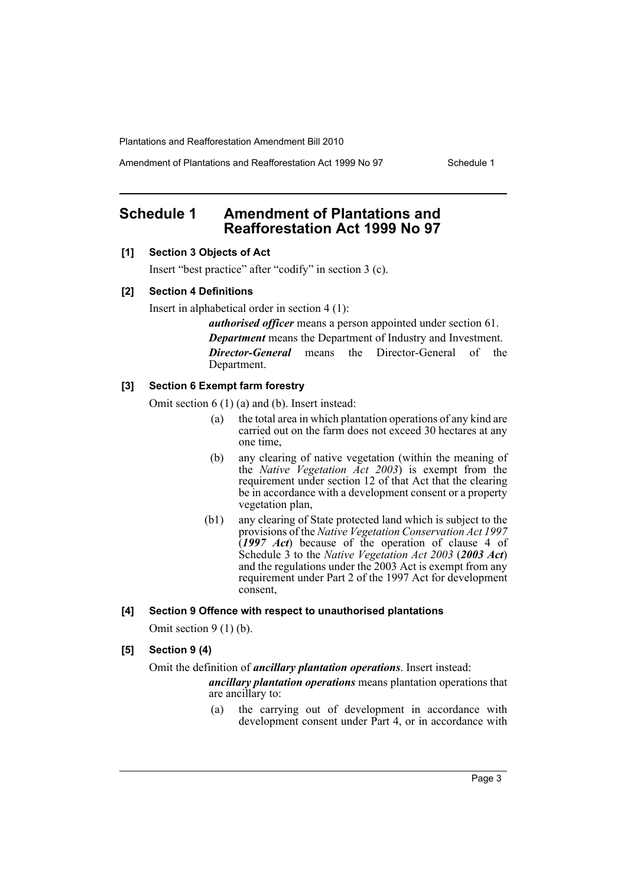Amendment of Plantations and Reafforestation Act 1999 No 97 Schedule 1

## <span id="page-3-0"></span>**Schedule 1 Amendment of Plantations and Reafforestation Act 1999 No 97**

## **[1] Section 3 Objects of Act**

Insert "best practice" after "codify" in section 3 (c).

#### **[2] Section 4 Definitions**

Insert in alphabetical order in section 4 (1):

*authorised officer* means a person appointed under section 61. *Department* means the Department of Industry and Investment. *Director-General* means the Director-General of the Department.

## **[3] Section 6 Exempt farm forestry**

Omit section 6 (1) (a) and (b). Insert instead:

- (a) the total area in which plantation operations of any kind are carried out on the farm does not exceed 30 hectares at any one time,
- (b) any clearing of native vegetation (within the meaning of the *Native Vegetation Act 2003*) is exempt from the requirement under section 12 of that Act that the clearing be in accordance with a development consent or a property vegetation plan,
- (b1) any clearing of State protected land which is subject to the provisions of the *Native Vegetation Conservation Act 1997* (*1997 Act*) because of the operation of clause 4 of Schedule 3 to the *Native Vegetation Act 2003* (*2003 Act*) and the regulations under the 2003 Act is exempt from any requirement under Part 2 of the 1997 Act for development consent,

#### **[4] Section 9 Offence with respect to unauthorised plantations**

Omit section 9 (1) (b).

## **[5] Section 9 (4)**

## Omit the definition of *ancillary plantation operations*. Insert instead:

*ancillary plantation operations* means plantation operations that are ancillary to:

(a) the carrying out of development in accordance with development consent under Part 4, or in accordance with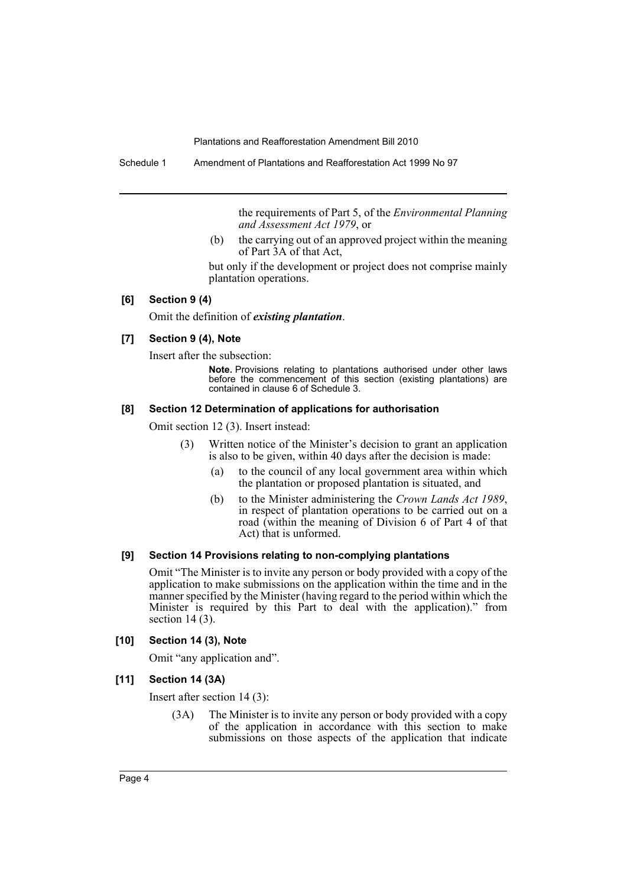the requirements of Part 5, of the *Environmental Planning and Assessment Act 1979*, or

(b) the carrying out of an approved project within the meaning of Part 3A of that Act,

but only if the development or project does not comprise mainly plantation operations.

#### **[6] Section 9 (4)**

Omit the definition of *existing plantation*.

#### **[7] Section 9 (4), Note**

Insert after the subsection:

**Note.** Provisions relating to plantations authorised under other laws before the commencement of this section (existing plantations) are contained in clause 6 of Schedule 3.

### **[8] Section 12 Determination of applications for authorisation**

Omit section 12 (3). Insert instead:

- (3) Written notice of the Minister's decision to grant an application is also to be given, within 40 days after the decision is made:
	- (a) to the council of any local government area within which the plantation or proposed plantation is situated, and
	- (b) to the Minister administering the *Crown Lands Act 1989*, in respect of plantation operations to be carried out on a road (within the meaning of Division 6 of Part 4 of that Act) that is unformed.

#### **[9] Section 14 Provisions relating to non-complying plantations**

Omit "The Minister is to invite any person or body provided with a copy of the application to make submissions on the application within the time and in the manner specified by the Minister (having regard to the period within which the Minister is required by this Part to deal with the application)." from section  $14(3)$ .

#### **[10] Section 14 (3), Note**

Omit "any application and".

#### **[11] Section 14 (3A)**

Insert after section 14 (3):

(3A) The Minister is to invite any person or body provided with a copy of the application in accordance with this section to make submissions on those aspects of the application that indicate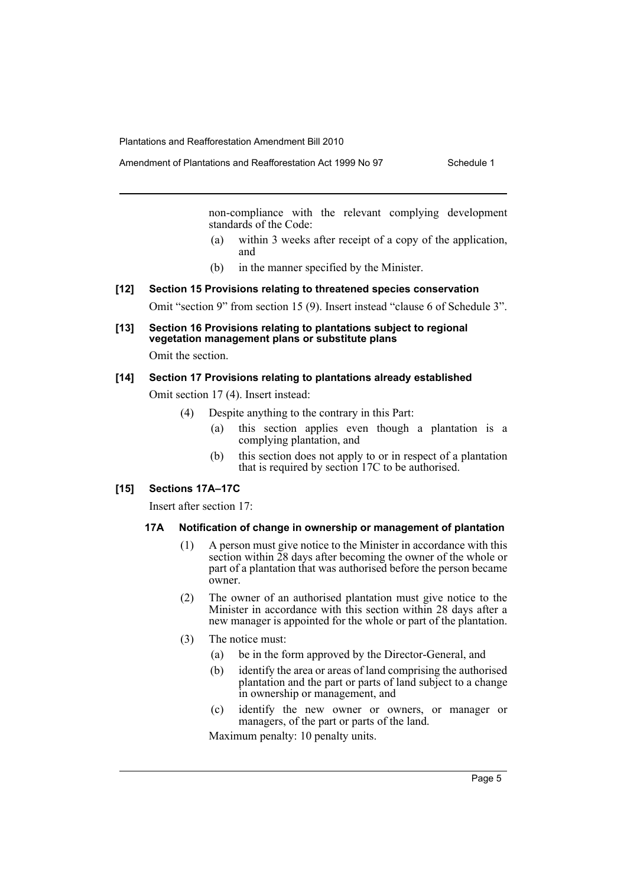non-compliance with the relevant complying development standards of the Code:

- (a) within 3 weeks after receipt of a copy of the application, and
- (b) in the manner specified by the Minister.

## **[12] Section 15 Provisions relating to threatened species conservation**

Omit "section 9" from section 15 (9). Insert instead "clause 6 of Schedule 3".

**[13] Section 16 Provisions relating to plantations subject to regional vegetation management plans or substitute plans**

Omit the section.

#### **[14] Section 17 Provisions relating to plantations already established**

Omit section 17 (4). Insert instead:

- (4) Despite anything to the contrary in this Part:
	- (a) this section applies even though a plantation is a complying plantation, and
	- (b) this section does not apply to or in respect of a plantation that is required by section 17C to be authorised.

## **[15] Sections 17A–17C**

Insert after section 17:

#### **17A Notification of change in ownership or management of plantation**

- (1) A person must give notice to the Minister in accordance with this section within  $\overline{28}$  days after becoming the owner of the whole or part of a plantation that was authorised before the person became owner.
- (2) The owner of an authorised plantation must give notice to the Minister in accordance with this section within 28 days after a new manager is appointed for the whole or part of the plantation.
- (3) The notice must:
	- (a) be in the form approved by the Director-General, and
	- (b) identify the area or areas of land comprising the authorised plantation and the part or parts of land subject to a change in ownership or management, and
	- (c) identify the new owner or owners, or manager or managers, of the part or parts of the land.

Maximum penalty: 10 penalty units.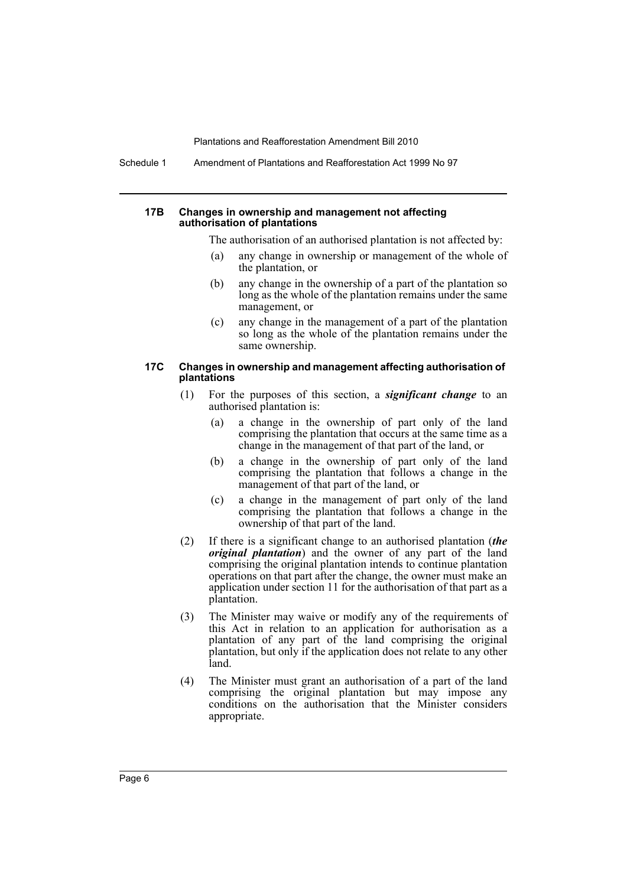Schedule 1 Amendment of Plantations and Reafforestation Act 1999 No 97

#### **17B Changes in ownership and management not affecting authorisation of plantations**

The authorisation of an authorised plantation is not affected by:

- (a) any change in ownership or management of the whole of the plantation, or
- (b) any change in the ownership of a part of the plantation so long as the whole of the plantation remains under the same management, or
- (c) any change in the management of a part of the plantation so long as the whole of the plantation remains under the same ownership.

#### **17C Changes in ownership and management affecting authorisation of plantations**

- (1) For the purposes of this section, a *significant change* to an authorised plantation is:
	- (a) a change in the ownership of part only of the land comprising the plantation that occurs at the same time as a change in the management of that part of the land, or
	- (b) a change in the ownership of part only of the land comprising the plantation that follows a change in the management of that part of the land, or
	- (c) a change in the management of part only of the land comprising the plantation that follows a change in the ownership of that part of the land.
- (2) If there is a significant change to an authorised plantation (*the original plantation*) and the owner of any part of the land comprising the original plantation intends to continue plantation operations on that part after the change, the owner must make an application under section 11 for the authorisation of that part as a plantation.
- (3) The Minister may waive or modify any of the requirements of this Act in relation to an application for authorisation as a plantation of any part of the land comprising the original plantation, but only if the application does not relate to any other land.
- (4) The Minister must grant an authorisation of a part of the land comprising the original plantation but may impose any conditions on the authorisation that the Minister considers appropriate.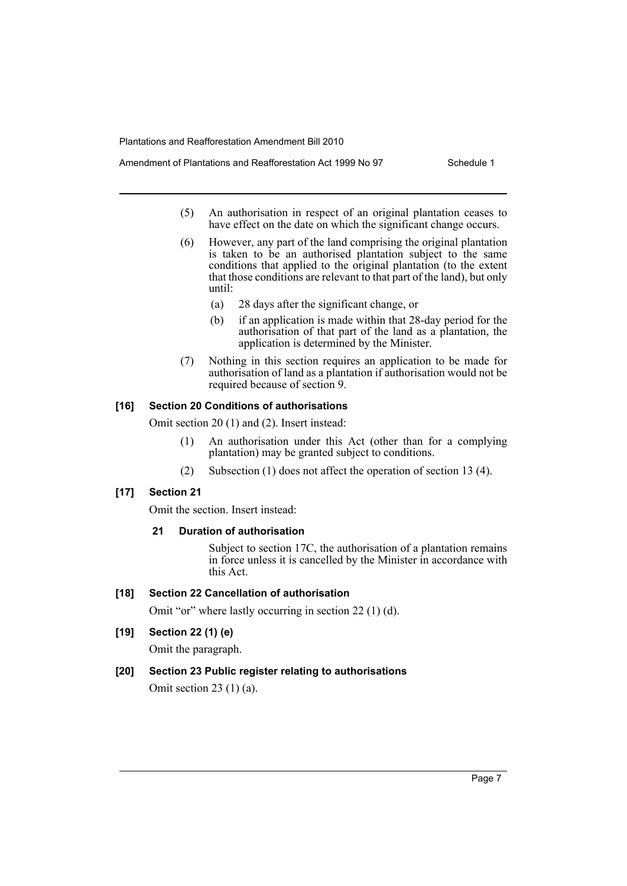- Amendment of Plantations and Reafforestation Act 1999 No 97 Schedule 1
	- (5) An authorisation in respect of an original plantation ceases to have effect on the date on which the significant change occurs.
	- (6) However, any part of the land comprising the original plantation is taken to be an authorised plantation subject to the same conditions that applied to the original plantation (to the extent that those conditions are relevant to that part of the land), but only until:
		- (a) 28 days after the significant change, or
		- (b) if an application is made within that 28-day period for the authorisation of that part of the land as a plantation, the application is determined by the Minister.
	- (7) Nothing in this section requires an application to be made for authorisation of land as a plantation if authorisation would not be required because of section 9.

#### **[16] Section 20 Conditions of authorisations**

Omit section 20 (1) and (2). Insert instead:

- (1) An authorisation under this Act (other than for a complying plantation) may be granted subject to conditions.
- (2) Subsection (1) does not affect the operation of section 13 (4).

## **[17] Section 21**

Omit the section. Insert instead:

#### **21 Duration of authorisation**

Subject to section 17C, the authorisation of a plantation remains in force unless it is cancelled by the Minister in accordance with this Act.

#### **[18] Section 22 Cancellation of authorisation**

Omit "or" where lastly occurring in section 22 (1) (d).

## **[19] Section 22 (1) (e)**

Omit the paragraph.

### **[20] Section 23 Public register relating to authorisations**

Omit section 23 (1) (a).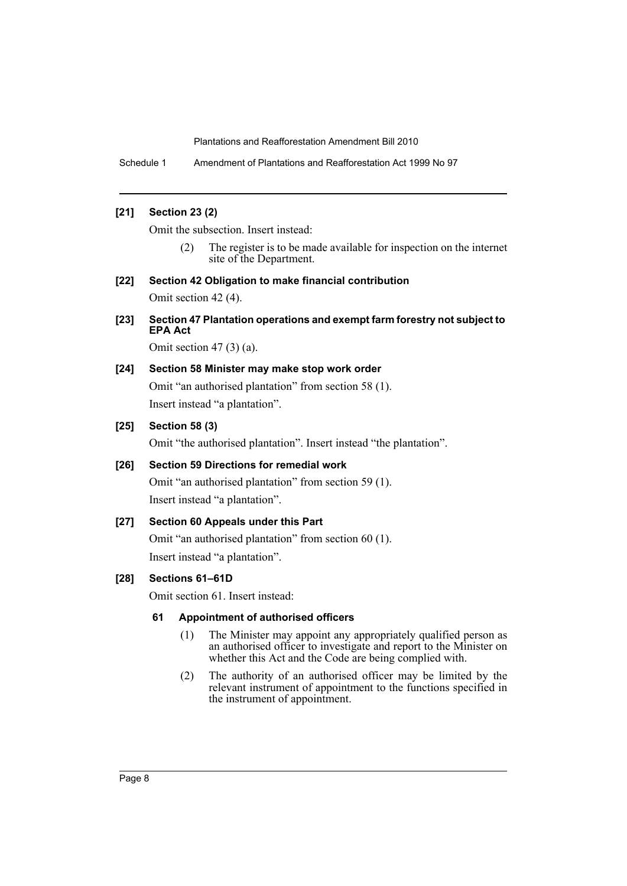Schedule 1 Amendment of Plantations and Reafforestation Act 1999 No 97

## **[21] Section 23 (2)**

Omit the subsection. Insert instead:

- (2) The register is to be made available for inspection on the internet site of the Department.
- **[22] Section 42 Obligation to make financial contribution** Omit section 42 (4).
- **[23] Section 47 Plantation operations and exempt farm forestry not subject to EPA Act**

Omit section  $47(3)(a)$ .

## **[24] Section 58 Minister may make stop work order**

Omit "an authorised plantation" from section 58 (1). Insert instead "a plantation".

## **[25] Section 58 (3)**

Omit "the authorised plantation". Insert instead "the plantation".

### **[26] Section 59 Directions for remedial work**

Omit "an authorised plantation" from section 59 (1). Insert instead "a plantation".

#### **[27] Section 60 Appeals under this Part**

Omit "an authorised plantation" from section 60 (1). Insert instead "a plantation".

## **[28] Sections 61–61D**

Omit section 61. Insert instead:

#### **61 Appointment of authorised officers**

- (1) The Minister may appoint any appropriately qualified person as an authorised officer to investigate and report to the Minister on whether this Act and the Code are being complied with.
- (2) The authority of an authorised officer may be limited by the relevant instrument of appointment to the functions specified in the instrument of appointment.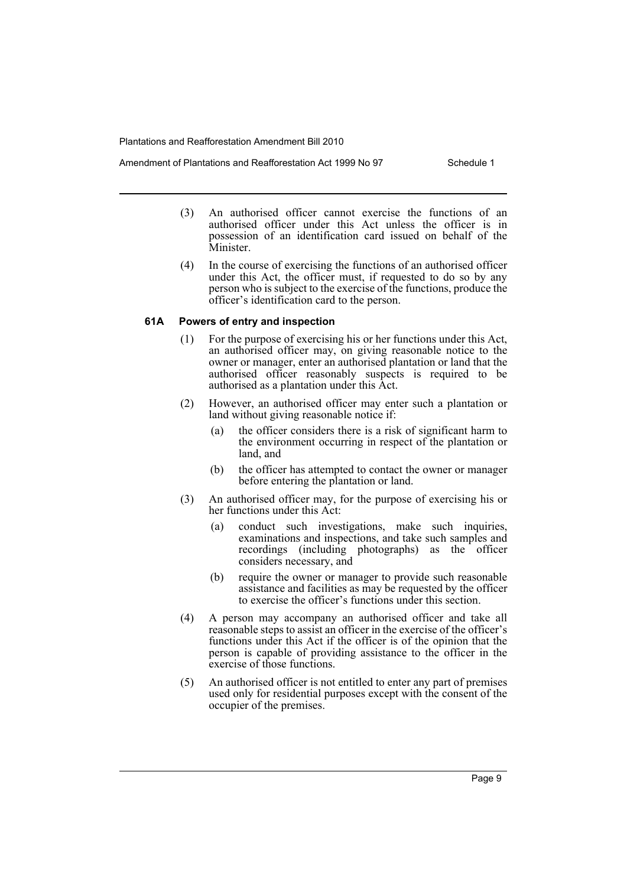- (3) An authorised officer cannot exercise the functions of an authorised officer under this Act unless the officer is in possession of an identification card issued on behalf of the Minister.
- (4) In the course of exercising the functions of an authorised officer under this Act, the officer must, if requested to do so by any person who is subject to the exercise of the functions, produce the officer's identification card to the person.

#### **61A Powers of entry and inspection**

- (1) For the purpose of exercising his or her functions under this Act, an authorised officer may, on giving reasonable notice to the owner or manager, enter an authorised plantation or land that the authorised officer reasonably suspects is required to be authorised as a plantation under this Act.
- (2) However, an authorised officer may enter such a plantation or land without giving reasonable notice if:
	- (a) the officer considers there is a risk of significant harm to the environment occurring in respect of the plantation or land, and
	- (b) the officer has attempted to contact the owner or manager before entering the plantation or land.
- (3) An authorised officer may, for the purpose of exercising his or her functions under this Act:
	- (a) conduct such investigations, make such inquiries, examinations and inspections, and take such samples and recordings (including photographs) as the officer considers necessary, and
	- (b) require the owner or manager to provide such reasonable assistance and facilities as may be requested by the officer to exercise the officer's functions under this section.
- (4) A person may accompany an authorised officer and take all reasonable steps to assist an officer in the exercise of the officer's functions under this Act if the officer is of the opinion that the person is capable of providing assistance to the officer in the exercise of those functions.
- (5) An authorised officer is not entitled to enter any part of premises used only for residential purposes except with the consent of the occupier of the premises.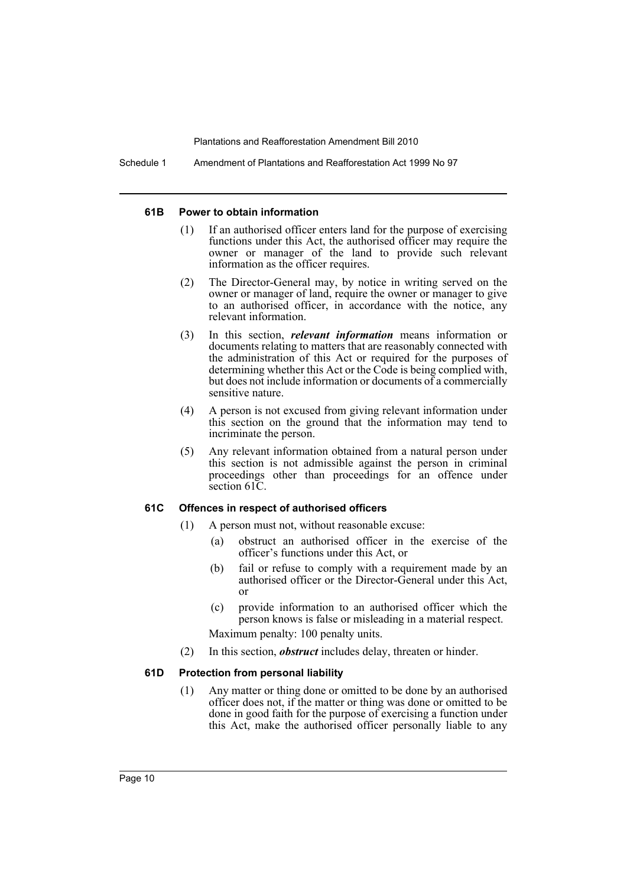Schedule 1 Amendment of Plantations and Reafforestation Act 1999 No 97

#### **61B Power to obtain information**

- (1) If an authorised officer enters land for the purpose of exercising functions under this Act, the authorised officer may require the owner or manager of the land to provide such relevant information as the officer requires.
- (2) The Director-General may, by notice in writing served on the owner or manager of land, require the owner or manager to give to an authorised officer, in accordance with the notice, any relevant information.
- (3) In this section, *relevant information* means information or documents relating to matters that are reasonably connected with the administration of this Act or required for the purposes of determining whether this Act or the Code is being complied with, but does not include information or documents of a commercially sensitive nature.
- (4) A person is not excused from giving relevant information under this section on the ground that the information may tend to incriminate the person.
- (5) Any relevant information obtained from a natural person under this section is not admissible against the person in criminal proceedings other than proceedings for an offence under section 61C.

#### **61C Offences in respect of authorised officers**

- (1) A person must not, without reasonable excuse:
	- (a) obstruct an authorised officer in the exercise of the officer's functions under this Act, or
	- (b) fail or refuse to comply with a requirement made by an authorised officer or the Director-General under this Act, or
	- (c) provide information to an authorised officer which the person knows is false or misleading in a material respect. Maximum penalty: 100 penalty units.
- (2) In this section, *obstruct* includes delay, threaten or hinder.

#### **61D Protection from personal liability**

(1) Any matter or thing done or omitted to be done by an authorised officer does not, if the matter or thing was done or omitted to be done in good faith for the purpose of exercising a function under this Act, make the authorised officer personally liable to any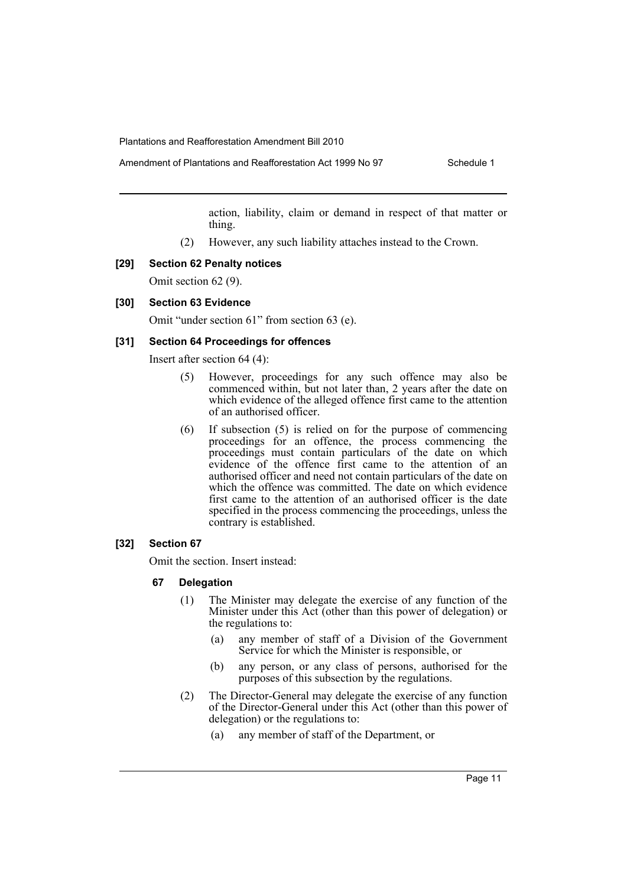action, liability, claim or demand in respect of that matter or thing.

(2) However, any such liability attaches instead to the Crown.

#### **[29] Section 62 Penalty notices**

Omit section 62 (9).

## **[30] Section 63 Evidence**

Omit "under section 61" from section 63 (e).

### **[31] Section 64 Proceedings for offences**

Insert after section 64 (4):

- (5) However, proceedings for any such offence may also be commenced within, but not later than, 2 years after the date on which evidence of the alleged offence first came to the attention of an authorised officer.
- (6) If subsection (5) is relied on for the purpose of commencing proceedings for an offence, the process commencing the proceedings must contain particulars of the date on which evidence of the offence first came to the attention of an authorised officer and need not contain particulars of the date on which the offence was committed. The date on which evidence first came to the attention of an authorised officer is the date specified in the process commencing the proceedings, unless the contrary is established.

#### **[32] Section 67**

Omit the section. Insert instead:

- **67 Delegation**
	- (1) The Minister may delegate the exercise of any function of the Minister under this Act (other than this power of delegation) or the regulations to:
		- (a) any member of staff of a Division of the Government Service for which the Minister is responsible, or
		- (b) any person, or any class of persons, authorised for the purposes of this subsection by the regulations.
	- (2) The Director-General may delegate the exercise of any function of the Director-General under this Act (other than this power of delegation) or the regulations to:
		- (a) any member of staff of the Department, or